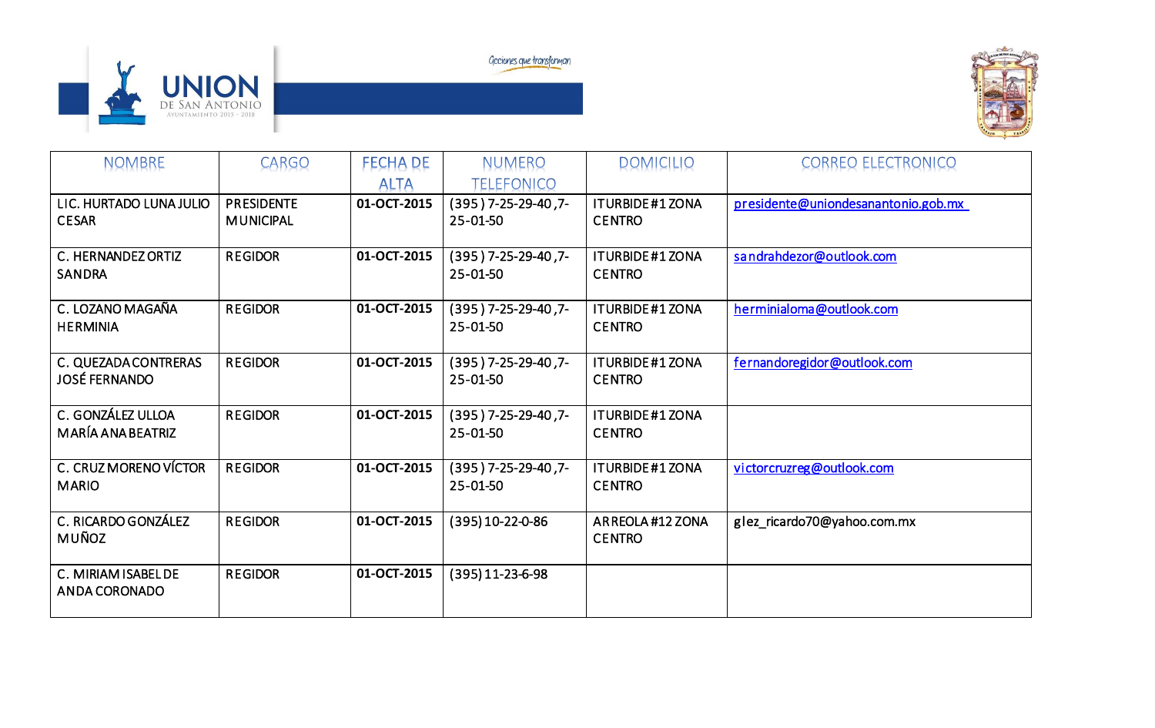

Geciones que transforman



| <b>NOMBRE</b>                                       | <b>CARGO</b>                          | <b>FECHA DE</b><br><b>ALTA</b> | NUMERO<br><b>TELEFONICO</b>        | <b>DOMICILIO</b>                         | <b>CORREO ELECTRONICO</b>           |
|-----------------------------------------------------|---------------------------------------|--------------------------------|------------------------------------|------------------------------------------|-------------------------------------|
| LIC. HURTADO LUNA JULIO<br><b>CESAR</b>             | <b>PRESIDENTE</b><br><b>MUNICIPAL</b> | 01-OCT-2015                    | $(395)$ 7-25-29-40, 7-<br>25-01-50 | <b>ITURBIDE #1 ZONA</b><br><b>CENTRO</b> | presidente@uniondesanantonio.gob.mx |
| C. HERNANDEZ ORTIZ<br><b>SANDRA</b>                 | <b>REGIDOR</b>                        | 01-OCT-2015                    | $(395)$ 7-25-29-40, 7-<br>25-01-50 | <b>ITURBIDE#1ZONA</b><br><b>CENTRO</b>   | sandrahdezor@outlook.com            |
| C. LOZANO MAGAÑA<br><b>HERMINIA</b>                 | <b>REGIDOR</b>                        | 01-OCT-2015                    | $(395)$ 7-25-29-40, 7-<br>25-01-50 | <b>ITURBIDE#1ZONA</b><br><b>CENTRO</b>   | herminialoma@outlook.com            |
| <b>C. QUEZADA CONTRERAS</b><br><b>JOSÉ FERNANDO</b> | <b>REGIDOR</b>                        | 01-OCT-2015                    | $(395)$ 7-25-29-40, 7-<br>25-01-50 | <b>ITURBIDE#1ZONA</b><br><b>CENTRO</b>   | fernandoregidor@outlook.com         |
| C. GONZÁLEZ ULLOA<br>MARÍA ANA BEATRIZ              | <b>REGIDOR</b>                        | 01-OCT-2015                    | $(395)$ 7-25-29-40, 7-<br>25-01-50 | <b>ITURBIDE#1ZONA</b><br><b>CENTRO</b>   |                                     |
| C. CRUZ MORENO VÍCTOR<br><b>MARIO</b>               | <b>REGIDOR</b>                        | 01-OCT-2015                    | (395) 7-25-29-40,7-<br>25-01-50    | <b>ITURBIDE#1ZONA</b><br><b>CENTRO</b>   | victorcruzreg@outlook.com           |
| C. RICARDO GONZÁLEZ<br><b>MUÑOZ</b>                 | <b>REGIDOR</b>                        | 01-OCT-2015                    | (395) 10-22-0-86                   | ARREOLA #12 ZONA<br><b>CENTRO</b>        | glez_ricardo70@yahoo.com.mx         |
| C. MIRIAM ISABEL DE<br>ANDA CORONADO                | <b>REGIDOR</b>                        | 01-OCT-2015                    | $(395)$ 11-23-6-98                 |                                          |                                     |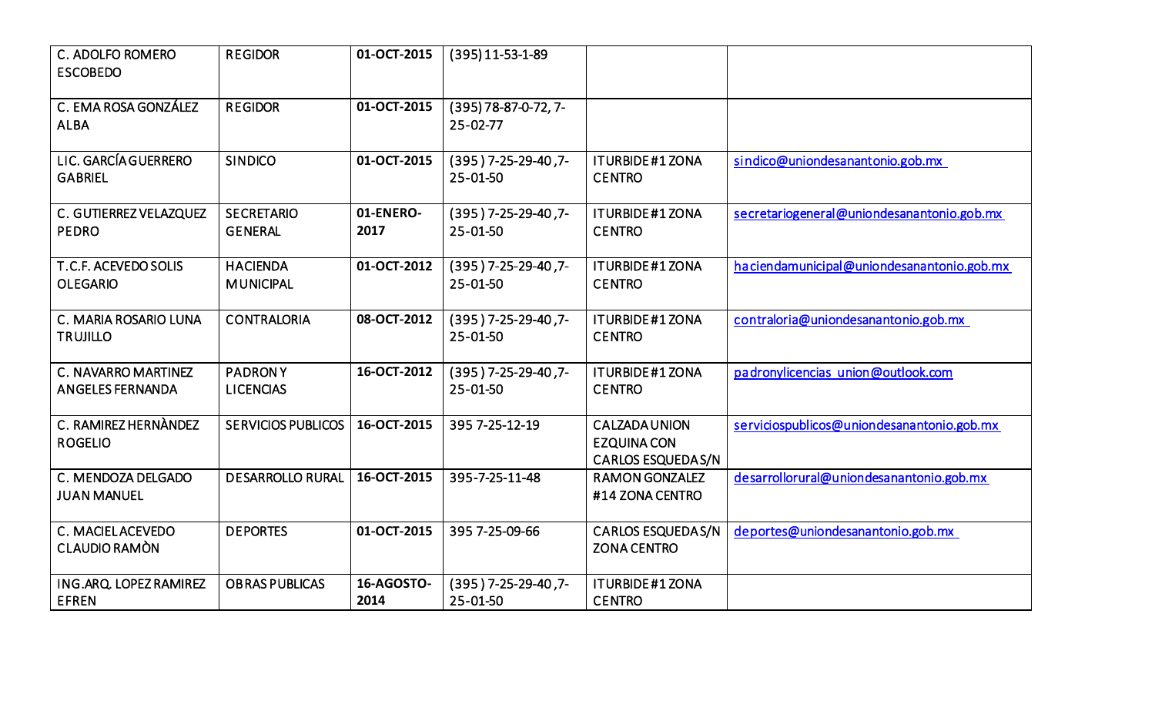| C. ADOLFO ROMERO<br><b>ESCOBEDO</b>                   | <b>REGIDOR</b>                      | 01-OCT-2015        | $(395)$ 11-53-1-89                       |                                                                       |                                             |
|-------------------------------------------------------|-------------------------------------|--------------------|------------------------------------------|-----------------------------------------------------------------------|---------------------------------------------|
| C. EMA ROSA GONZÁLEZ<br><b>ALBA</b>                   | <b>REGIDOR</b>                      | 01-OCT-2015        | $(395)$ 78-87-0-72, 7-<br>$25 - 02 - 77$ |                                                                       |                                             |
| LIC. GARCÍA GUERRERO<br><b>GABRIEL</b>                | <b>SINDICO</b>                      | 01-OCT-2015        | (395) 7-25-29-40,7-<br>25-01-50          | <b>ITURBIDE #1 ZONA</b><br><b>CENTRO</b>                              | sindico@uniondesanantonio.gob.mx            |
| C. GUTIERREZ VELAZQUEZ<br><b>PEDRO</b>                | <b>SECRETARIO</b><br><b>GENERAL</b> | 01-ENERO-<br>2017  | (395) 7-25-29-40,7-<br>25-01-50          | <b>ITURBIDE #1 ZONA</b><br><b>CENTRO</b>                              | secretariogeneral@uniondesanantonio.gob.mx  |
| T.C.F. ACEVEDO SOLIS<br><b>OLEGARIO</b>               | <b>HACIENDA</b><br><b>MUNICIPAL</b> | 01-OCT-2012        | (395) 7-25-29-40,7-<br>25-01-50          | <b>ITURBIDE #1 ZONA</b><br><b>CENTRO</b>                              | ha ciendamunicipal@uniondesanantonio.gob.mx |
| C. MARIA ROSARIO LUNA<br><b>TRUJILLO</b>              | <b>CONTRALORIA</b>                  | 08-OCT-2012        | (395) 7-25-29-40,7-<br>25-01-50          | <b>ITURBIDE #1 ZONA</b><br><b>CENTRO</b>                              | contraloria@uniondesanantonio.gob.mx        |
| <b>C. NAVARRO MARTINEZ</b><br><b>ANGELES FERNANDA</b> | <b>PADRONY</b><br><b>LICENCIAS</b>  | 16-OCT-2012        | (395) 7-25-29-40,7-<br>25-01-50          | <b>ITURBIDE #1 ZONA</b><br><b>CENTRO</b>                              | padronylicencias union@outlook.com          |
| C. RAMIREZ HERNANDEZ<br><b>ROGELIO</b>                | <b>SERVICIOS PUBLICOS</b>           | 16-OCT-2015        | 395 7-25-12-19                           | <b>CALZADAUNION</b><br><b>EZQUINA CON</b><br><b>CARLOS ESQUEDAS/N</b> | serviciospublicos@uniondesanantonio.gob.mx  |
| C. MENDOZA DELGADO<br><b>JUAN MANUEL</b>              | <b>DESARROLLO RURAL</b>             | 16-OCT-2015        | 395-7-25-11-48                           | <b>RAMON GONZALEZ</b><br>#14 ZONA CENTRO                              | desarrollorural@uniondesanantonio.gob.mx    |
| C. MACIELACEVEDO<br>CLAUDIO RAMON                     | <b>DEPORTES</b>                     | 01-OCT-2015        | 395 7-25-09-66                           | <b>CARLOS ESQUEDAS/N</b><br><b>ZONA CENTRO</b>                        | deportes@uniondesanantonio.gob.mx           |
| ING.ARQ. LOPEZ RAMIREZ<br><b>EFREN</b>                | <b>OBRAS PUBLICAS</b>               | 16-AGOSTO-<br>2014 | (395) 7-25-29-40,7-<br>25-01-50          | <b>ITURBIDE#1ZONA</b><br><b>CENTRO</b>                                |                                             |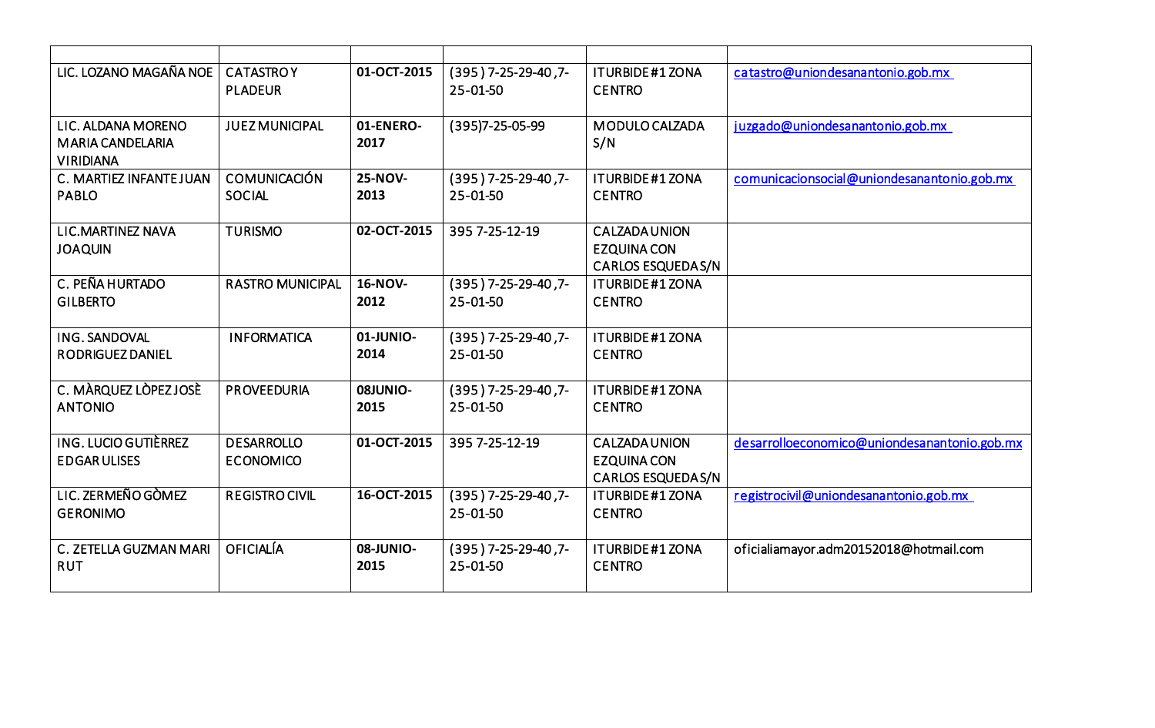| LIC. LOZANO MAGAÑA NOE                                            | <b>CATASTROY</b><br><b>PLADEUR</b>    | 01-OCT-2015            | (395) 7-25-29-40,7-<br>25-01-50    | <b>ITURBIDE#1ZONA</b><br><b>CENTRO</b>                                 | catastro@uniondesanantonio.gob.mx            |
|-------------------------------------------------------------------|---------------------------------------|------------------------|------------------------------------|------------------------------------------------------------------------|----------------------------------------------|
| LIC. ALDANA MORENO<br><b>MARIA CANDELARIA</b><br><b>VIRIDIANA</b> | <b>JUEZ MUNICIPAL</b>                 | 01-ENERO-<br>2017      | (395) 7-25-05-99                   | MODULO CALZADA<br>S/N                                                  | juzgado@uniondesanantonio.gob.mx             |
| C. MARTIEZ INFANTE JUAN<br><b>PABLO</b>                           | <b>COMUNICACIÓN</b><br><b>SOCIAL</b>  | 25-NOV-<br>2013        | $(395)$ 7-25-29-40, 7-<br>25-01-50 | <b>ITURBIDE#1ZONA</b><br><b>CENTRO</b>                                 | comunicacionsocial@uniondesanantonio.gob.mx  |
| <b>LIC.MARTINEZ NAVA</b><br><b>JOAQUIN</b>                        | <b>TURISMO</b>                        | 02-OCT-2015            | 395 7-25-12-19                     | <b>CALZADA UNION</b><br><b>EZQUINA CON</b><br><b>CARLOS ESQUEDAS/N</b> |                                              |
| C. PEÑA HURTADO<br><b>GILBERTO</b>                                | <b>RASTRO MUNICIPAL</b>               | <b>16-NOV-</b><br>2012 | $(395)$ 7-25-29-40, 7-<br>25-01-50 | <b>ITURBIDE#1ZONA</b><br><b>CENTRO</b>                                 |                                              |
| ING. SANDOVAL<br>RODRIGUEZ DANIEL                                 | <b>INFORMATICA</b>                    | 01-JUNIO-<br>2014      | $(395)$ 7-25-29-40, 7-<br>25-01-50 | <b>ITURBIDE#1ZONA</b><br><b>CENTRO</b>                                 |                                              |
| C. MÀRQUEZ LÒPEZ JOSÈ<br><b>ANTONIO</b>                           | <b>PROVEEDURIA</b>                    | 08JUNIO-<br>2015       | $(395)$ 7-25-29-40, 7-<br>25-01-50 | <b>ITURBIDE#1ZONA</b><br><b>CENTRO</b>                                 |                                              |
| <b>ING. LUCIO GUTIÈRREZ</b><br><b>EDGARULISES</b>                 | <b>DESARROLLO</b><br><b>ECONOMICO</b> | 01-OCT-2015            | 395 7-25-12-19                     | <b>CALZADA UNION</b><br><b>EZQUINA CON</b><br><b>CARLOS ESQUEDAS/N</b> | desarrolloeconomico@uniondesanantonio.gob.mx |
| LIC. ZERMEÑO GÒMEZ<br><b>GERONIMO</b>                             | <b>REGISTRO CIVIL</b>                 | 16-OCT-2015            | $(395)$ 7-25-29-40, 7-<br>25-01-50 | <b>ITURBIDE#1ZONA</b><br><b>CENTRO</b>                                 | registrocivil@uniondesanantonio.gob.mx       |
| C. ZETELLA GUZMAN MARI<br><b>RUT</b>                              | <b>OFICIALÍA</b>                      | 08-JUNIO-<br>2015      | (395) 7-25-29-40,7-<br>25-01-50    | <b>ITURBIDE#1ZONA</b><br><b>CENTRO</b>                                 | oficialiamayor.adm20152018@hotmail.com       |